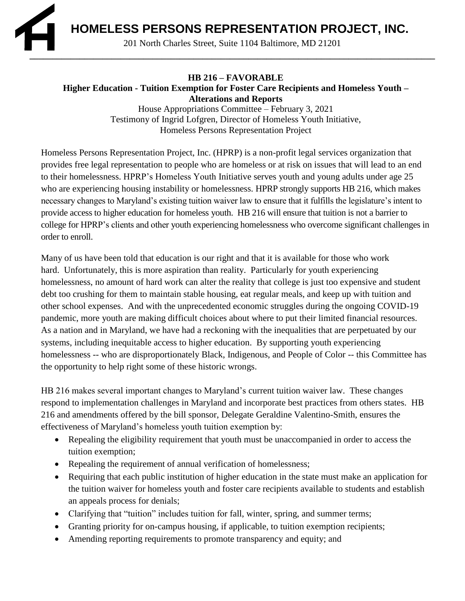

201 North Charles Street, Suite 1104 Baltimore, MD 21201 **\_\_\_\_\_\_\_\_\_\_\_\_\_\_\_\_\_\_\_\_\_\_\_\_\_\_\_\_\_\_\_\_\_\_\_\_\_\_\_\_\_\_\_\_\_\_\_\_\_\_\_\_\_\_\_\_\_\_\_\_\_\_\_\_\_\_\_\_\_\_\_\_\_\_\_\_\_\_\_\_\_\_\_\_\_\_\_\_\_**

## **HB 216 – FAVORABLE**

## **Higher Education - Tuition Exemption for Foster Care Recipients and Homeless Youth – Alterations and Reports**

House Appropriations Committee – February 3, 2021 Testimony of Ingrid Lofgren, Director of Homeless Youth Initiative, Homeless Persons Representation Project

Homeless Persons Representation Project, Inc. (HPRP) is a non-profit legal services organization that provides free legal representation to people who are homeless or at risk on issues that will lead to an end to their homelessness. HPRP's Homeless Youth Initiative serves youth and young adults under age 25 who are experiencing housing instability or homelessness. HPRP strongly supports HB 216, which makes necessary changes to Maryland's existing tuition waiver law to ensure that it fulfills the legislature's intent to provide access to higher education for homeless youth. HB 216 will ensure that tuition is not a barrier to college for HPRP's clients and other youth experiencing homelessness who overcome significant challenges in order to enroll.

Many of us have been told that education is our right and that it is available for those who work hard. Unfortunately, this is more aspiration than reality. Particularly for youth experiencing homelessness, no amount of hard work can alter the reality that college is just too expensive and student debt too crushing for them to maintain stable housing, eat regular meals, and keep up with tuition and other school expenses. And with the unprecedented economic struggles during the ongoing COVID-19 pandemic, more youth are making difficult choices about where to put their limited financial resources. As a nation and in Maryland, we have had a reckoning with the inequalities that are perpetuated by our systems, including inequitable access to higher education. By supporting youth experiencing homelessness -- who are disproportionately Black, Indigenous, and People of Color -- this Committee has the opportunity to help right some of these historic wrongs.

HB 216 makes several important changes to Maryland's current tuition waiver law. These changes respond to implementation challenges in Maryland and incorporate best practices from others states. HB 216 and amendments offered by the bill sponsor, Delegate Geraldine Valentino-Smith, ensures the effectiveness of Maryland's homeless youth tuition exemption by:

- Repealing the eligibility requirement that youth must be unaccompanied in order to access the tuition exemption;
- Repealing the requirement of annual verification of homelessness;
- Requiring that each public institution of higher education in the state must make an application for the tuition waiver for homeless youth and foster care recipients available to students and establish an appeals process for denials;
- Clarifying that "tuition" includes tuition for fall, winter, spring, and summer terms;
- Granting priority for on-campus housing, if applicable, to tuition exemption recipients;
- Amending reporting requirements to promote transparency and equity; and